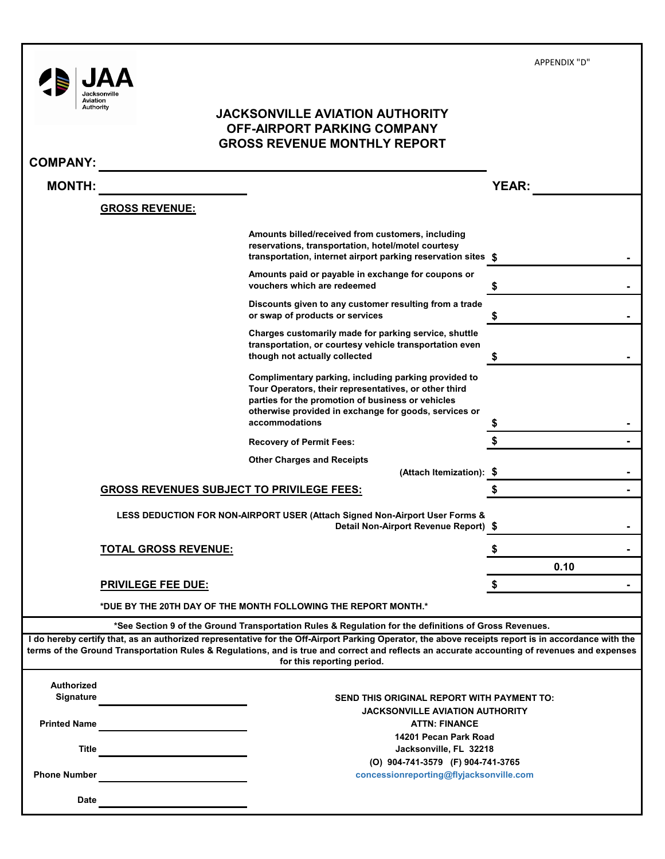| Aviation<br>Authority                 | Jacksonvill                                      | <b>JACKSONVILLE AVIATION AUTHORITY</b><br>OFF-AIRPORT PARKING COMPANY<br><b>GROSS REVENUE MONTHLY REPORT</b>                                                                                                                                                                                                                      |              |  |
|---------------------------------------|--------------------------------------------------|-----------------------------------------------------------------------------------------------------------------------------------------------------------------------------------------------------------------------------------------------------------------------------------------------------------------------------------|--------------|--|
| <b>COMPANY:</b>                       |                                                  |                                                                                                                                                                                                                                                                                                                                   |              |  |
| <b>MONTH:</b>                         |                                                  |                                                                                                                                                                                                                                                                                                                                   | <b>YEAR:</b> |  |
|                                       | <b>GROSS REVENUE:</b>                            |                                                                                                                                                                                                                                                                                                                                   |              |  |
|                                       |                                                  | Amounts billed/received from customers, including<br>reservations, transportation, hotel/motel courtesy<br>transportation, internet airport parking reservation sites \$                                                                                                                                                          |              |  |
|                                       |                                                  | Amounts paid or payable in exchange for coupons or<br>vouchers which are redeemed                                                                                                                                                                                                                                                 | \$           |  |
|                                       |                                                  | Discounts given to any customer resulting from a trade<br>or swap of products or services                                                                                                                                                                                                                                         | \$           |  |
|                                       |                                                  | Charges customarily made for parking service, shuttle<br>transportation, or courtesy vehicle transportation even<br>though not actually collected                                                                                                                                                                                 | \$           |  |
|                                       |                                                  | Complimentary parking, including parking provided to<br>Tour Operators, their representatives, or other third<br>parties for the promotion of business or vehicles<br>otherwise provided in exchange for goods, services or<br>accommodations                                                                                     |              |  |
|                                       |                                                  | <b>Recovery of Permit Fees:</b>                                                                                                                                                                                                                                                                                                   |              |  |
|                                       |                                                  | <b>Other Charges and Receipts</b>                                                                                                                                                                                                                                                                                                 |              |  |
|                                       | <b>GROSS REVENUES SUBJECT TO PRIVILEGE FEES:</b> | (Attach Itemization): \$                                                                                                                                                                                                                                                                                                          | \$           |  |
|                                       |                                                  | LESS DEDUCTION FOR NON-AIRPORT USER (Attach Signed Non-Airport User Forms &<br>Detail Non-Airport Revenue Report) \$                                                                                                                                                                                                              |              |  |
|                                       | <u>TOTAL GROSS REVENUE:</u>                      |                                                                                                                                                                                                                                                                                                                                   | \$           |  |
|                                       |                                                  |                                                                                                                                                                                                                                                                                                                                   | 0.10         |  |
|                                       | <b>PRIVILEGE FEE DUE:</b>                        |                                                                                                                                                                                                                                                                                                                                   |              |  |
|                                       |                                                  | *DUE BY THE 20TH DAY OF THE MONTH FOLLOWING THE REPORT MONTH.*                                                                                                                                                                                                                                                                    |              |  |
|                                       |                                                  | *See Section 9 of the Ground Transportation Rules & Regulation for the definitions of Gross Revenues.                                                                                                                                                                                                                             |              |  |
|                                       |                                                  | I do hereby certify that, as an authorized representative for the Off-Airport Parking Operator, the above receipts report is in accordance with the<br>terms of the Ground Transportation Rules & Regulations, and is true and correct and reflects an accurate accounting of revenues and expenses<br>for this reporting period. |              |  |
| <b>Authorized</b><br><b>Signature</b> |                                                  | SEND THIS ORIGINAL REPORT WITH PAYMENT TO:                                                                                                                                                                                                                                                                                        |              |  |
| <b>Printed Name</b>                   |                                                  | <b>JACKSONVILLE AVIATION AUTHORITY</b>                                                                                                                                                                                                                                                                                            |              |  |
|                                       |                                                  | <b>ATTN: FINANCE</b><br>14201 Pecan Park Road                                                                                                                                                                                                                                                                                     |              |  |
| Title                                 |                                                  | Jacksonville, FL 32218<br>(O) 904-741-3579 (F) 904-741-3765                                                                                                                                                                                                                                                                       |              |  |
| <b>Phone Number</b>                   |                                                  | concessionreporting@flyjacksonville.com                                                                                                                                                                                                                                                                                           |              |  |

APPENDIX "D"

**Date**

L,